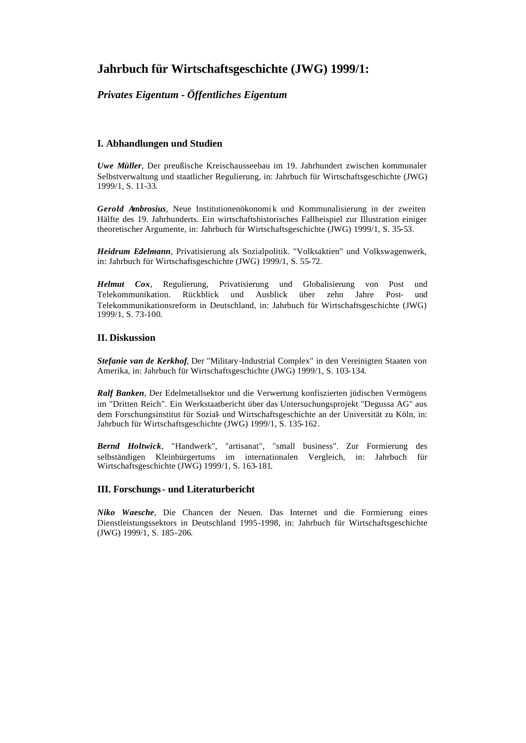# **Jahrbuch für Wirtschaftsgeschichte (JWG) 1999/1:**

## *Privates Eigentum - Öffentliches Eigentum*

## **I. Abhandlungen und Studien**

*Uwe Müller*, Der preußische Kreischausseebau im 19. Jahrhundert zwischen kommunaler Selbstverwaltung und staatlicher Regulierung, in: Jahrbuch für Wirtschaftsgeschichte (JWG) 1999/1, S. 11-33.

*Gerold Ambrosius*, Neue Institutionenökonomi k und Kommunalisierung in der zweiten Hälfte des 19. Jahrhunderts. Ein wirtschaftshistorisches Fallbeispiel zur Illustration einiger theoretischer Argumente, in: Jahrbuch für Wirtschaftsgeschichte (JWG) 1999/1, S. 35-53.

*Heidrum Edelmann*, Privatisierung als Sozialpolitik. "Volksaktien" und Volkswagenwerk, in: Jahrbuch für Wirtschaftsgeschichte (JWG) 1999/1, S. 55-72.

*Helmut Cox*, Regulierung, Privatisierung und Globalisierung von Post und Telekommunikation. Rückblick und Ausblick über zehn Jahre Post- und Telekommunikationsreform in Deutschland, in: Jahrbuch für Wirtschaftsgeschichte (JWG) 1999/1, S. 73-100.

### **II. Diskussion**

*Stefanie van de Kerkhof*, Der "Military-Industrial Complex" in den Vereinigten Staaten von Amerika, in: Jahrbuch für Wirtschaftsgeschichte (JWG) 1999/1, S. 103-134.

*Ralf Banken*, Der Edelmetallsektor und die Verwertung konfiszierten jüdischen Vermögens im "Dritten Reich". Ein Werkstaatbericht über das Untersuchungsprojekt "Degussa AG" aus dem Forschungsinstitut für Sozial- und Wirtschaftsgeschichte an der Universität zu Köln, in: Jahrbuch für Wirtschaftsgeschichte (JWG) 1999/1, S. 135-162.

*Bernd Holtwick*, "Handwerk", "artisanat", "small business". Zur Formierung des selbständigen Kleinbürgertums im internationalen Vergleich, in: Jahrbuch für Wirtschaftsgeschichte (JWG) 1999/1, S. 163-181.

## **III. Forschungs- und Literaturbericht**

*Niko Waesche*, Die Chancen der Neuen. Das Internet und die Formierung eines Dienstleistungssektors in Deutschland 1995-1998, in: Jahrbuch für Wirtschaftsgeschichte (JWG) 1999/1, S. 185-206.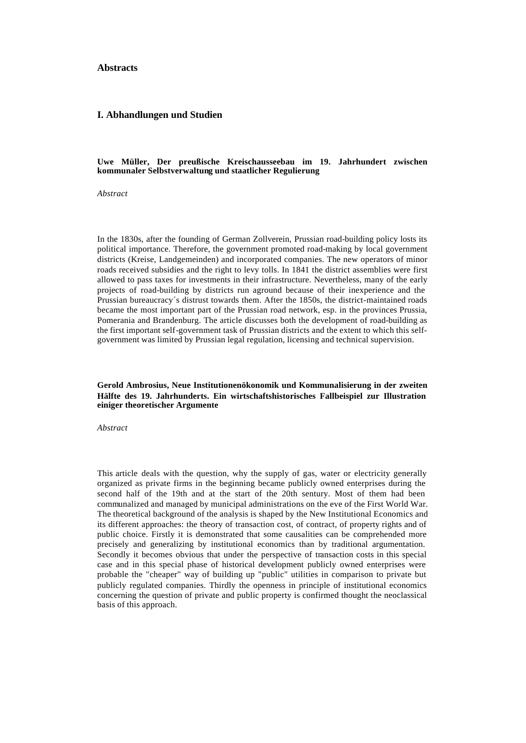#### **Abstracts**

#### **I. Abhandlungen und Studien**

#### **Uwe Müller, Der preußische Kreischausseebau im 19. Jahrhundert zwischen kommunaler Selbstverwaltung und staatlicher Regulierung**

*Abstract*

In the 1830s, after the founding of German Zollverein, Prussian road-building policy losts its political importance. Therefore, the government promoted road-making by local government districts (Kreise, Landgemeinden) and incorporated companies. The new operators of minor roads received subsidies and the right to levy tolls. In 1841 the district assemblies were first allowed to pass taxes for investments in their infrastructure. Nevertheless, many of the early projects of road-building by districts run aground because of their inexperience and the Prussian bureaucracy´s distrust towards them. After the 1850s, the district-maintained roads became the most important part of the Prussian road network, esp. in the provinces Prussia, Pomerania and Brandenburg. The article discusses both the development of road-building as the first important self-government task of Prussian districts and the extent to which this selfgovernment was limited by Prussian legal regulation, licensing and technical supervision.

#### **Gerold Ambrosius, Neue Institutionenökonomik und Kommunalisierung in der zweiten Hälfte des 19. Jahrhunderts. Ein wirtschaftshistorisches Fallbeispiel zur Illustration einiger theoretischer Argumente**

*Abstract*

This article deals with the question, why the supply of gas, water or electricity generally organized as private firms in the beginning became publicly owned enterprises during the second half of the 19th and at the start of the 20th sentury. Most of them had been communalized and managed by municipal administrations on the eve of the First World War. The theoretical background of the analysis is shaped by the New Institutional Economics and its different approaches: the theory of transaction cost, of contract, of property rights and of public choice. Firstly it is demonstrated that some causalities can be comprehended more precisely and generalizing by institutional economics than by traditional argumentation. Secondly it becomes obvious that under the perspective of transaction costs in this special case and in this special phase of historical development publicly owned enterprises were probable the "cheaper" way of building up "public" utilities in comparison to private but publicly regulated companies. Thirdly the openness in principle of institutional economics concerning the question of private and public property is confirmed thought the neoclassical basis of this approach.